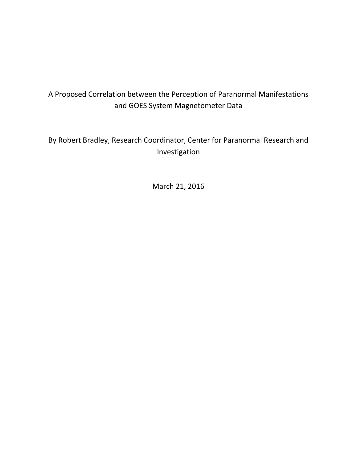# A Proposed Correlation between the Perception of Paranormal Manifestations and GOES System Magnetometer Data

# By Robert Bradley, Research Coordinator, Center for Paranormal Research and Investigation

March 21, 2016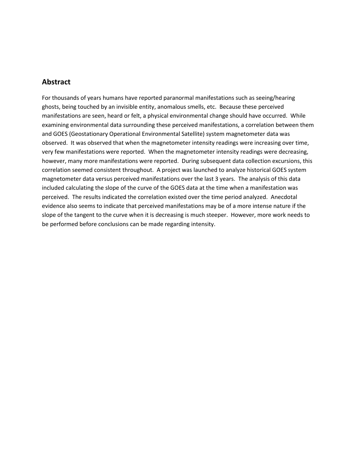#### **Abstract**

For thousands of years humans have reported paranormal manifestations such as seeing/hearing ghosts, being touched by an invisible entity, anomalous smells, etc. Because these perceived manifestations are seen, heard or felt, a physical environmental change should have occurred. While examining environmental data surrounding these perceived manifestations, a correlation between them and GOES (Geostationary Operational Environmental Satellite) system magnetometer data was observed. It was observed that when the magnetometer intensity readings were increasing over time, very few manifestations were reported. When the magnetometer intensity readings were decreasing, however, many more manifestations were reported. During subsequent data collection excursions, this correlation seemed consistent throughout. A project was launched to analyze historical GOES system magnetometer data versus perceived manifestations over the last 3 years. The analysis of this data included calculating the slope of the curve of the GOES data at the time when a manifestation was perceived. The results indicated the correlation existed over the time period analyzed. Anecdotal evidence also seems to indicate that perceived manifestations may be of a more intense nature if the slope of the tangent to the curve when it is decreasing is much steeper. However, more work needs to be performed before conclusions can be made regarding intensity.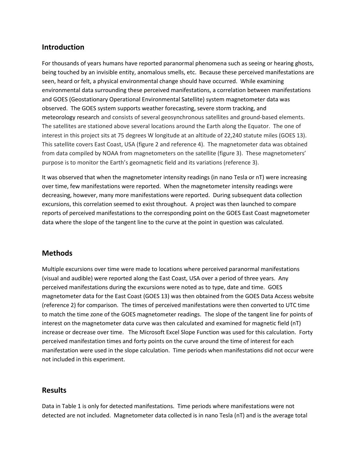#### **Introduction**

For thousands of years humans have reported paranormal phenomena such as seeing or hearing ghosts, being touched by an invisible entity, anomalous smells, etc. Because these perceived manifestations are seen, heard or felt, a physical environmental change should have occurred. While examining environmental data surrounding these perceived manifestations, a correlation between manifestations and GOES (Geostationary Operational Environmental Satellite) system magnetometer data was observed. The GOES system supports [weather forecasting,](https://en.wikipedia.org/wiki/Weather_forecasting) severe storm tracking, and [meteorology](https://en.wikipedia.org/wiki/Meteorology) research and consists of several geosynchronous satellites and ground-based elements. The satellites are stationed above several locations around the Earth along the Equator. The one of interest in this project sits at 75 degrees W longitude at an altitude of 22,240 statute miles (GOES 13). This satellite covers East Coast, USA (figure 2 and reference 4). The magnetometer data was obtained from data compiled by NOAA from magnetometers on the satellite (figure 3). These magnetometers' purpose is to monitor the Earth's geomagnetic field and its variations (reference 3).

It was observed that when the magnetometer intensity readings (in nano Tesla or nT) were increasing over time, few manifestations were reported. When the magnetometer intensity readings were decreasing, however, many more manifestations were reported. During subsequent data collection excursions, this correlation seemed to exist throughout. A project was then launched to compare reports of perceived manifestations to the corresponding point on the GOES East Coast magnetometer data where the slope of the tangent line to the curve at the point in question was calculated.

#### **Methods**

Multiple excursions over time were made to locations where perceived paranormal manifestations (visual and audible) were reported along the East Coast, USA over a period of three years. Any perceived manifestations during the excursions were noted as to type, date and time. GOES magnetometer data for the East Coast (GOES 13) was then obtained from the GOES Data Access website (reference 2) for comparison. The times of perceived manifestations were then converted to UTC time to match the time zone of the GOES magnetometer readings. The slope of the tangent line for points of interest on the magnetometer data curve was then calculated and examined for magnetic field (nT) increase or decrease over time. The Microsoft Excel Slope Function was used for this calculation. Forty perceived manifestation times and forty points on the curve around the time of interest for each manifestation were used in the slope calculation. Time periods when manifestations did not occur were not included in this experiment.

#### **Results**

Data in Table 1 is only for detected manifestations. Time periods where manifestations were not detected are not included. Magnetometer data collected is in nano Tesla (nT) and is the average total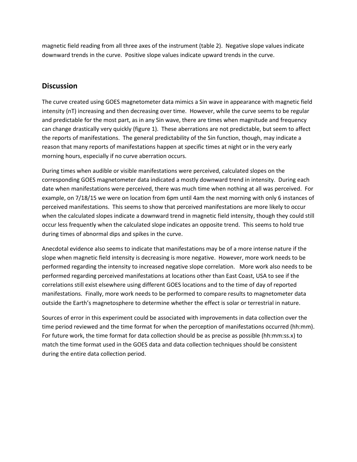magnetic field reading from all three axes of the instrument (table 2). Negative slope values indicate downward trends in the curve. Positive slope values indicate upward trends in the curve.

#### **Discussion**

The curve created using GOES magnetometer data mimics a Sin wave in appearance with magnetic field intensity (nT) increasing and then decreasing over time. However, while the curve seems to be regular and predictable for the most part, as in any Sin wave, there are times when magnitude and frequency can change drastically very quickly (figure 1). These aberrations are not predictable, but seem to affect the reports of manifestations. The general predictability of the Sin function, though, may indicate a reason that many reports of manifestations happen at specific times at night or in the very early morning hours, especially if no curve aberration occurs.

During times when audible or visible manifestations were perceived, calculated slopes on the corresponding GOES magnetometer data indicated a mostly downward trend in intensity. During each date when manifestations were perceived, there was much time when nothing at all was perceived. For example, on 7/18/15 we were on location from 6pm until 4am the next morning with only 6 instances of perceived manifestations. This seems to show that perceived manifestations are more likely to occur when the calculated slopes indicate a downward trend in magnetic field intensity, though they could still occur less frequently when the calculated slope indicates an opposite trend. This seems to hold true during times of abnormal dips and spikes in the curve.

Anecdotal evidence also seems to indicate that manifestations may be of a more intense nature if the slope when magnetic field intensity is decreasing is more negative. However, more work needs to be performed regarding the intensity to increased negative slope correlation. More work also needs to be performed regarding perceived manifestations at locations other than East Coast, USA to see if the correlations still exist elsewhere using different GOES locations and to the time of day of reported manifestations. Finally, more work needs to be performed to compare results to magnetometer data outside the Earth's magnetosphere to determine whether the effect is solar or terrestrial in nature.

Sources of error in this experiment could be associated with improvements in data collection over the time period reviewed and the time format for when the perception of manifestations occurred (hh:mm). For future work, the time format for data collection should be as precise as possible (hh:mm:ss.x) to match the time format used in the GOES data and data collection techniques should be consistent during the entire data collection period.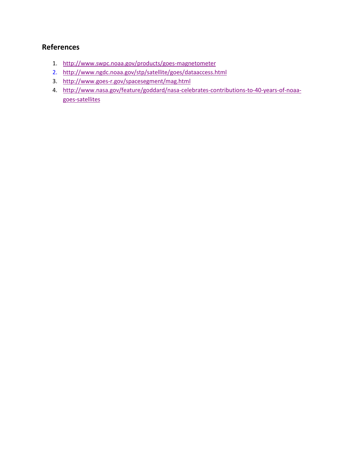## **References**

- 1. <http://www.swpc.noaa.gov/products/goes-magnetometer>
- 2. <http://www.ngdc.noaa.gov/stp/satellite/goes/dataaccess.html>
- 3. <http://www.goes-r.gov/spacesegment/mag.html>
- 4. [http://www.nasa.gov/feature/goddard/nasa-celebrates-contributions-to-40-years-of-noaa](http://www.nasa.gov/feature/goddard/nasa-celebrates-contributions-to-40-years-of-noaa-goes-satellites)[goes-satellites](http://www.nasa.gov/feature/goddard/nasa-celebrates-contributions-to-40-years-of-noaa-goes-satellites)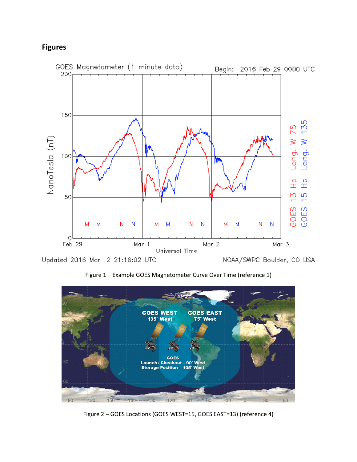### **Figures**



Figure 1 – Example GOES Magnetometer Curve Over Time (reference 1)



Figure 2 – GOES Locations (GOES WEST=15, GOES EAST=13) (reference 4)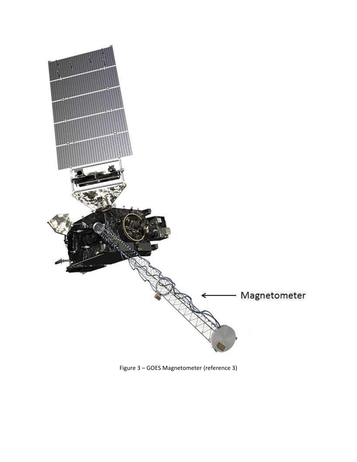

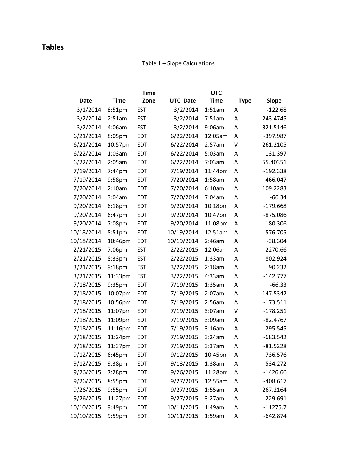## **Tables**

#### Table 1 – Slope Calculations

|            |                    | <b>Time</b> |                 | <b>UTC</b>  |             |            |
|------------|--------------------|-------------|-----------------|-------------|-------------|------------|
| Date       | <b>Time</b>        | Zone        | <b>UTC Date</b> | <b>Time</b> | <b>Type</b> | Slope      |
| 3/1/2014   | 8:51pm             | <b>EST</b>  | 3/2/2014        | 1:51am      | Α           | $-122.68$  |
| 3/2/2014   | 2:51am             | <b>EST</b>  | 3/2/2014        | 7:51am      | Α           | 243.4745   |
| 3/2/2014   | 4:06am             | <b>EST</b>  | 3/2/2014        | 9:06am      | Α           | 321.5146   |
| 6/21/2014  | 8:05pm             | EDT         | 6/22/2014       | 12:05am     | Α           | -397.987   |
| 6/21/2014  | 10:57pm            | <b>EDT</b>  | 6/22/2014       | 2:57am      | V           | 261.2105   |
| 6/22/2014  | 1:03am             | <b>EDT</b>  | 6/22/2014       | 5:03am      | A           | $-131.397$ |
| 6/22/2014  | 2:05am             | EDT         | 6/22/2014       | 7:03am      | Α           | 55.40351   |
| 7/19/2014  | 7:44pm             | EDT         | 7/19/2014       | 11:44pm     | Α           | $-192.338$ |
| 7/19/2014  | 9:58pm             | <b>EDT</b>  | 7/20/2014       | $1:58$ am   | A           | $-466.047$ |
| 7/20/2014  | 2:10am             | <b>EDT</b>  | 7/20/2014       | 6:10am      | Α           | 109.2283   |
| 7/20/2014  | 3:04am             | EDT         | 7/20/2014       | 7:04am      | Α           | $-66.34$   |
| 9/20/2014  | 6:18 <sub>pm</sub> | EDT         | 9/20/2014       | 10:18pm     | Α           | $-179.668$ |
| 9/20/2014  | 6:47pm             | <b>EDT</b>  | 9/20/2014       | 10:47pm     | A           | $-875.086$ |
| 9/20/2014  | 7:08pm             | EDT         | 9/20/2014       | 11:08pm     | A           | $-180.306$ |
| 10/18/2014 | 8:51pm             | EDT         | 10/19/2014      | 12:51am     | Α           | $-576.705$ |
| 10/18/2014 | 10:46pm            | EDT         | 10/19/2014      | 2:46am      | Α           | $-38.304$  |
| 2/21/2015  | 7:06pm             | <b>EST</b>  | 2/22/2015       | 12:06am     | A           | $-2270.66$ |
| 2/21/2015  | 8:33pm             | <b>EST</b>  | 2/22/2015       | 1:33am      | А           | $-802.924$ |
| 3/21/2015  | 9:18pm             | <b>EST</b>  | 3/22/2015       | 2:18am      | A           | 90.232     |
| 3/21/2015  | 11:33pm            | <b>EST</b>  | 3/22/2015       | 4:33am      | A           | $-142.777$ |
| 7/18/2015  | 9:35pm             | EDT         | 7/19/2015       | 1:35am      | A           | $-66.33$   |
| 7/18/2015  | 10:07pm            | EDT         | 7/19/2015       | 2:07am      | А           | 147.5342   |
| 7/18/2015  | 10:56pm            | EDT         | 7/19/2015       | 2:56am      | A           | $-173.511$ |
| 7/18/2015  | 11:07pm            | EDT         | 7/19/2015       | $3:07$ am   | V           | $-178.251$ |
| 7/18/2015  | 11:09pm            | EDT         | 7/19/2015       | 3:09am      | A           | $-82.4767$ |
| 7/18/2015  | 11:16pm            | EDT         | 7/19/2015       | 3:16am      | А           | $-295.545$ |
| 7/18/2015  | 11:24pm            | EDT         | 7/19/2015       | 3:24am      | A           | $-683.542$ |
| 7/18/2015  | 11:37pm            | EDT         | 7/19/2015       | 3:37am      | A           | $-81.5228$ |
| 9/12/2015  | 6:45pm             | EDT         | 9/12/2015       | 10:45pm     | Α           | -736.576   |
| 9/12/2015  | 9:38pm             | EDT         | 9/13/2015       | $1:38$ am   | A           | $-534.272$ |
| 9/26/2015  | 7:28pm             | EDT         | 9/26/2015       | 11:28pm     | Α           | $-1426.66$ |
| 9/26/2015  | 8:55pm             | EDT         | 9/27/2015       | 12:55am     | Α           | $-408.617$ |
| 9/26/2015  | 9:55pm             | EDT         | 9/27/2015       | 1:55am      | A           | 267.2164   |
| 9/26/2015  | 11:27pm            | EDT         | 9/27/2015       | 3:27am      | A           | $-229.691$ |
| 10/10/2015 | 9:49pm             | EDT         | 10/11/2015      | 1:49am      | A           | $-11275.7$ |
| 10/10/2015 | 9:59pm             | EDT         | 10/11/2015      | 1:59am      | Α           | $-642.874$ |